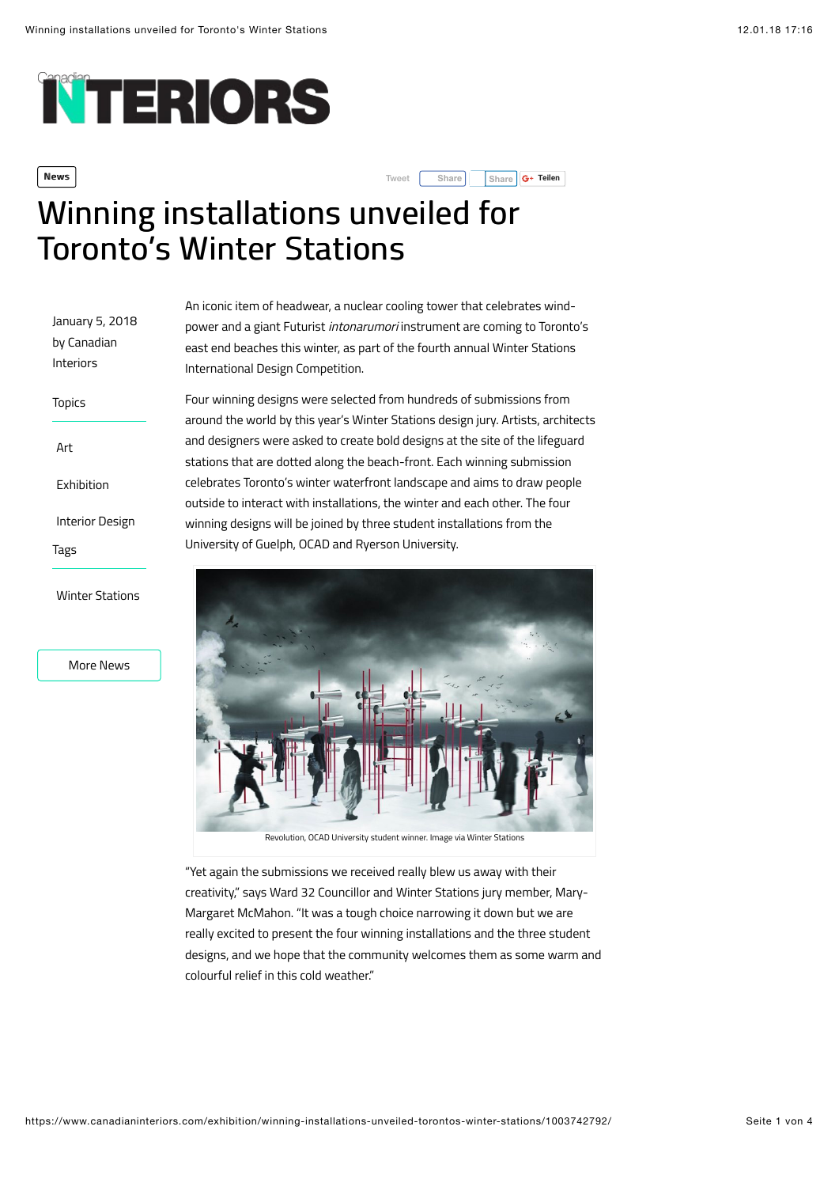# **NTERIORS**

More News

**News Share Share Share Share Share Share Share Share Share Share Share Share Share Share Share Share Share Share Share Share Share Share Share Share Share Share Share** 

## Winning installations unveiled for **Toronto's Winter Stations**

| January 5, 2018<br>by Canadian<br>Interiors | An iconic item of neadwear, a nu<br>power and a giant Futurist inton<br>east end beaches this winter, as<br>International Design Competitior                                                                             |
|---------------------------------------------|--------------------------------------------------------------------------------------------------------------------------------------------------------------------------------------------------------------------------|
| <b>Topics</b>                               | Four winning designs were selec<br>around the world by this year's V<br>and designers were asked to crea<br>stations that are dotted along th<br>celebrates Toronto's winter wate<br>outside to interact with installati |
| Art                                         |                                                                                                                                                                                                                          |
| Exhibition                                  |                                                                                                                                                                                                                          |
| <b>Interior Design</b>                      | winning designs will be joined by                                                                                                                                                                                        |
| Tags                                        | University of Guelph, OCAD and I                                                                                                                                                                                         |
| <b>Winter Stations</b>                      |                                                                                                                                                                                                                          |

clear cooling tower that celebrates windarumori instrument are coming to Toronto's part of the fourth annual Winter Stations International Design Competition.

ted from hundreds of submissions from Vinter Stations design jury. Artists, architects ate bold designs at the site of the lifeguard e beach-front. Each winning submission erfront landscape and aims to draw people ions, the winter and each other. The four three student installations from the Ryerson University.



"Yet again the submissions we received really blew us away with their creativity," says Ward 32 Councillor and Winter Stations jury member, Mary-Margaret McMahon. "It was a tough choice narrowing it down but we are really excited to present the four winning installations and the three student designs, and we hope that the community welcomes them as some warm and colourful relief in this cold weather."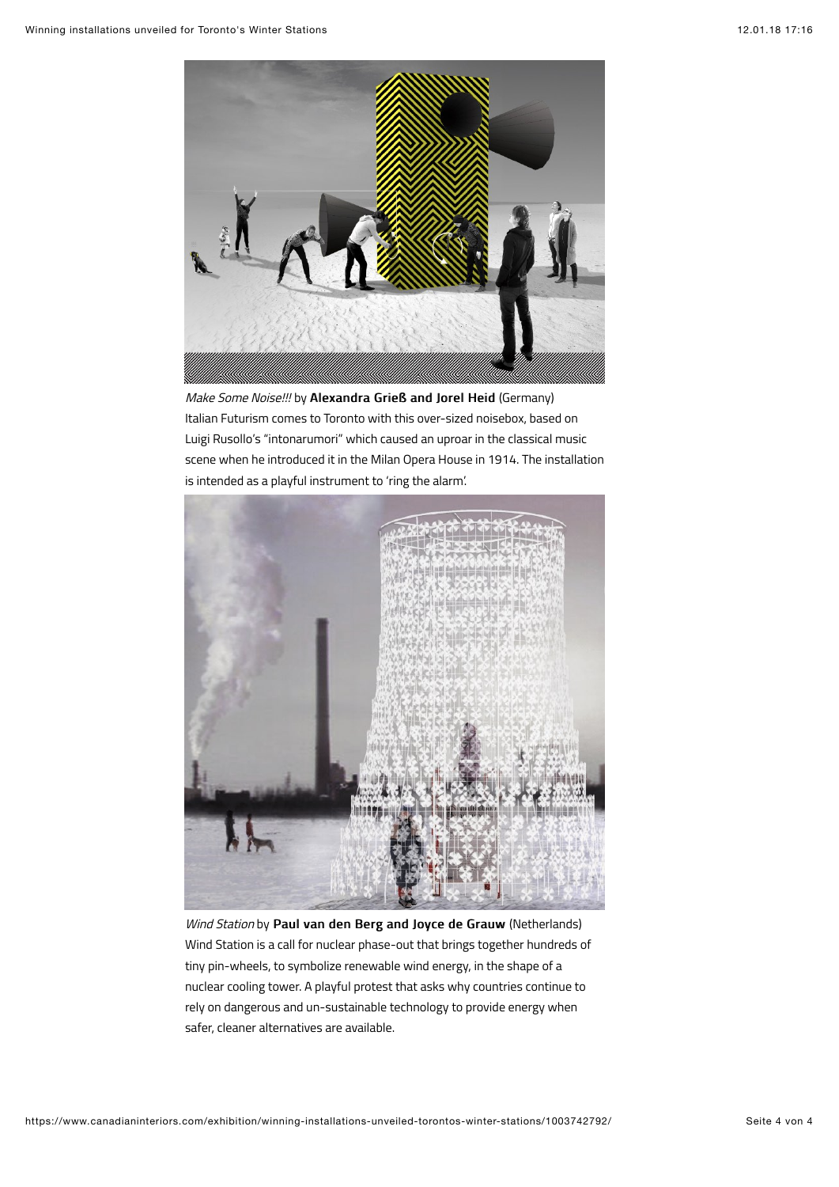

Make Some Noise!!! by Alexandra Grieß and Jorel Heid (Germany) Italian Futurism comes to Toronto with this over-sized noisebox, based on Luigi Rusollo's "intonarumori" which caused an uproar in the classical music scene when he introduced it in the Milan Opera House in 1914. The installation is intended as a playful instrument to 'ring the alarm'.



Wind Station by Paul van den Berg and Joyce de Grauw (Netherlands) Wind Station is a call for nuclear phase-out that brings together hundreds of tiny pin-wheels, to symbolize renewable wind energy, in the shape of a nuclear cooling tower. A playful protest that asks why countries continue to rely on dangerous and un-sustainable technology to provide energy when safer, cleaner alternatives are available.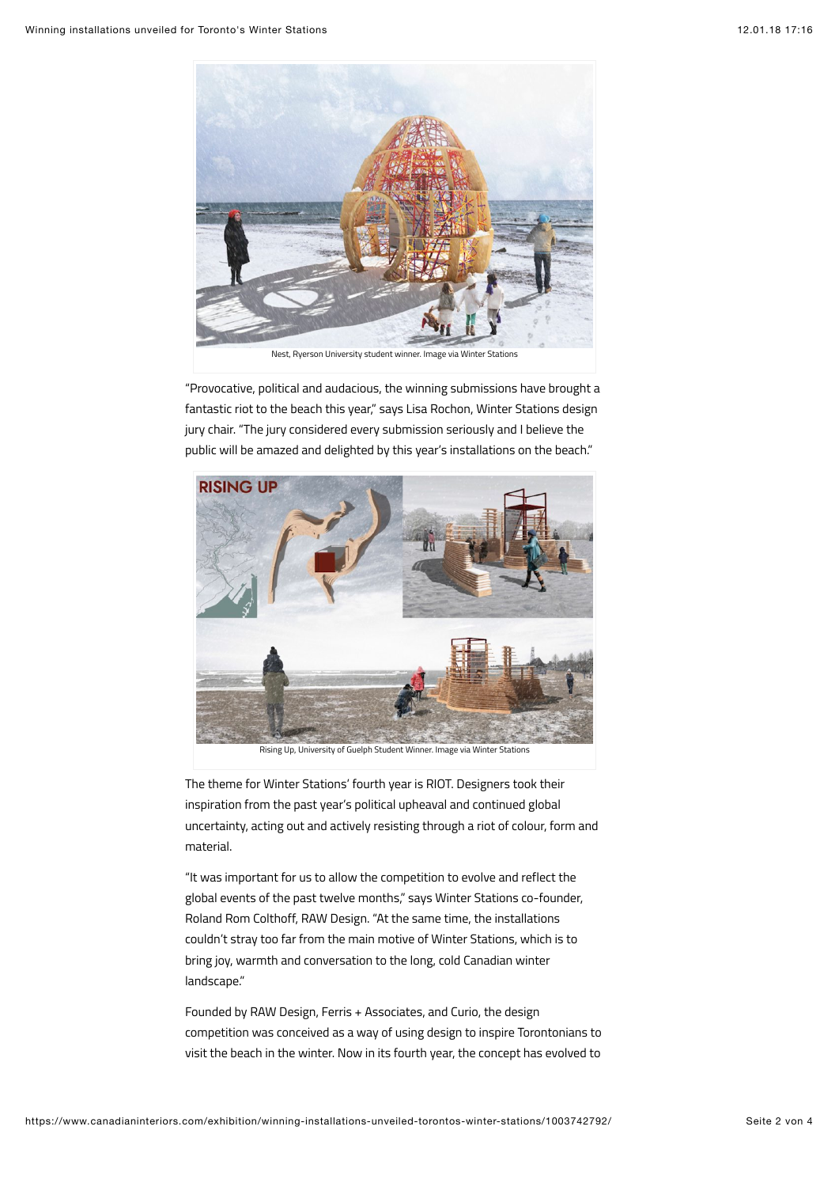

Nest, Ryerson University student winner. Image via Winter Stations

"Provocative, political and audacious, the winning submissions have brought a fantastic riot to the beach this year," says Lisa Rochon, Winter Stations design jury chair. "The jury considered every submission seriously and I believe the public will be amazed and delighted by this year's installations on the beach."



The theme for Winter Stations' fourth year is RIOT. Designers took their inspiration from the past year's political upheaval and continued global uncertainty, acting out and actively resisting through a riot of colour, form and material.

"It was important for us to allow the competition to evolve and reflect the global events of the past twelve months," says Winter Stations co-founder, Roland Rom Colthoff, RAW Design. "At the same time, the installations couldn't stray too far from the main motive of Winter Stations, which is to bring joy, warmth and conversation to the long, cold Canadian winter landscape."

Founded by RAW Design, Ferris + Associates, and Curio, the design competition was conceived as a way of using design to inspire Torontonians to visit the beach in the winter. Now in its fourth year, the concept has evolved to